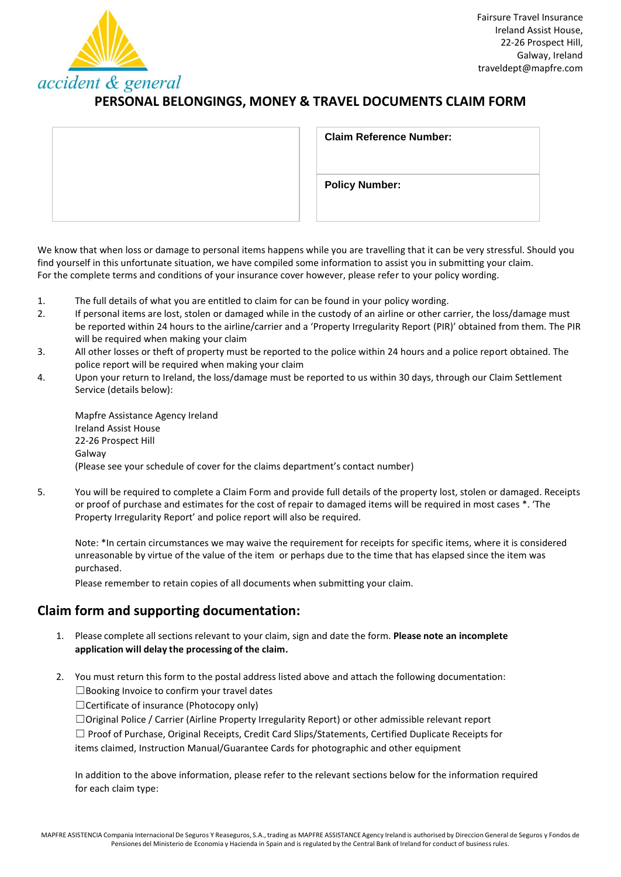

# **PERSONAL BELONGINGS, MONEY & TRAVEL DOCUMENTS CLAIM FORM**

| <b>Claim Reference Number:</b> |
|--------------------------------|
| <b>Policy Number:</b>          |
|                                |

We know that when loss or damage to personal items happens while you are travelling that it can be very stressful. Should you find yourself in this unfortunate situation, we have compiled some information to assist you in submitting your claim. For the complete terms and conditions of your insurance cover however, please refer to your policy wording.

- 1. The full details of what you are entitled to claim for can be found in your policy wording.
- 2. If personal items are lost, stolen or damaged while in the custody of an airline or other carrier, the loss/damage must be reported within 24 hours to the airline/carrier and a 'Property Irregularity Report (PIR)' obtained from them. The PIR will be required when making your claim
- 3. All other losses or theft of property must be reported to the police within 24 hours and a police report obtained. The police report will be required when making your claim
- 4. Upon your return to Ireland, the loss/damage must be reported to us within 30 days, through our Claim Settlement Service (details below):

Mapfre Assistance Agency Ireland Ireland Assist House 22-26 Prospect Hill Galway (Please see your schedule of cover for the claims department's contact number)

5. You will be required to complete a Claim Form and provide full details of the property lost, stolen or damaged. Receipts or proof of purchase and estimates for the cost of repair to damaged items will be required in most cases \*. 'The Property Irregularity Report' and police report will also be required.

Note: \*In certain circumstances we may waive the requirement for receipts for specific items, where it is considered unreasonable by virtue of the value of the item or perhaps due to the time that has elapsed since the item was purchased.

Please remember to retain copies of all documents when submitting your claim.

# **Claim form and supporting documentation:**

- 1. Please complete all sections relevant to your claim, sign and date the form. Please note an incomplete **application will delay the processing of the claim.**
- 2. You must return this form to the postal address listed above and attach the following documentation: ☐Booking Invoice to confirm your travel dates

☐Certificate of insurance (Photocopy only)

☐Original Police / Carrier (Airline Property Irregularity Report) or other admissible relevant report ☐ Proof of Purchase, Original Receipts, Credit Card Slips/Statements, Certified Duplicate Receipts for items claimed, Instruction Manual/Guarantee Cards for photographic and other equipment

In addition to the above information, please refer to the relevant sections below for the information required for each claim type: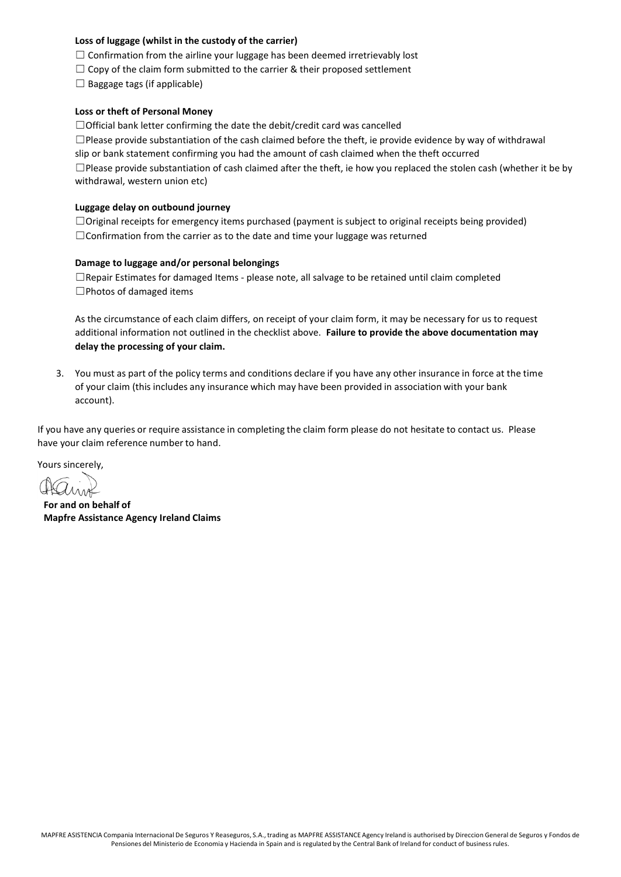### **Loss of luggage (whilst in the custody of the carrier)**

- $\Box$  Confirmation from the airline your luggage has been deemed irretrievably lost
- $\Box$  Copy of the claim form submitted to the carrier & their proposed settlement
- $\Box$  Baggage tags (if applicable)

#### **Loss or theft of Personal Money**

 $\Box$  Official bank letter confirming the date the debit/credit card was cancelled

 $\square$ Please provide substantiation of the cash claimed before the theft, ie provide evidence by way of withdrawal slip or bank statement confirming you had the amount of cash claimed when the theft occurred  $\square$ Please provide substantiation of cash claimed after the theft, ie how you replaced the stolen cash (whether it be by withdrawal, western union etc)

#### **Luggage delay on outbound journey**

☐Original receipts for emergency items purchased (payment is subject to original receipts being provided) □Confirmation from the carrier as to the date and time your luggage was returned

#### **Damage to luggage and/or personal belongings**

☐Repair Estimates for damaged Items - please note, all salvage to be retained until claim completed ☐Photos of damaged items

As the circumstance of each claim differs, on receipt of your claim form, it may be necessary for us to request additional information not outlined in the checklist above. **Failure to provide the above documentation may delay the processing of your claim.**

3. You must as part of the policy terms and conditions declare if you have any other insurance in force at the time of your claim (this includes any insurance which may have been provided in association with your bank account).

If you have any queries or require assistance in completing the claim form please do not hesitate to contact us. Please have your claim reference number to hand.

Yours sincerely,

**For and on behalf of Mapfre Assistance Agency Ireland Claims**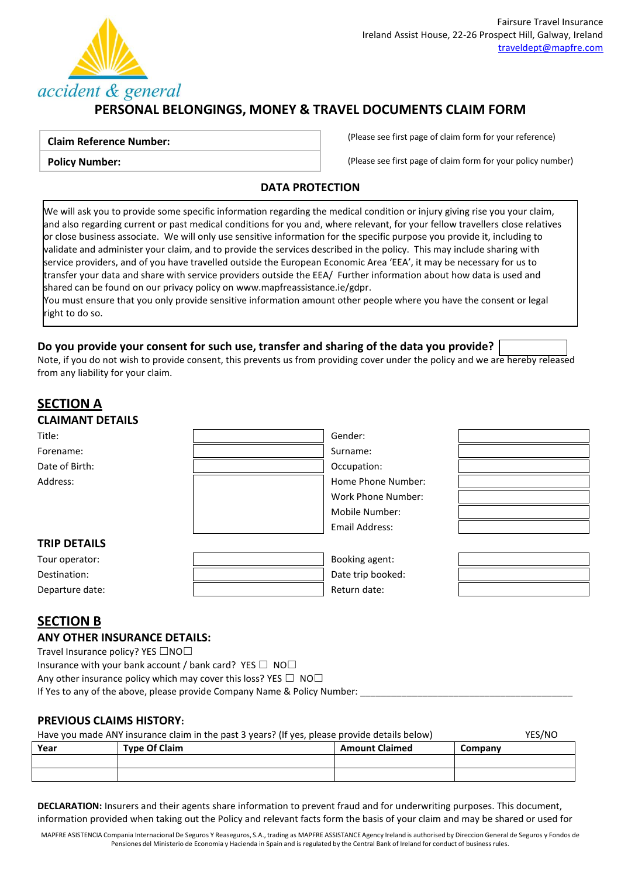

# **PERSONAL BELONGINGS, MONEY & TRAVEL DOCUMENTS CLAIM FORM**

### **Claim Reference Number:**

**Policy Number:**

(Please see first page of claim form for your reference)

(Please see first page of claim form for your policy number)

### **DATA PROTECTION**

We will ask you to provide some specific information regarding the medical condition or injury giving rise you your claim, and also regarding current or past medical conditions for you and, where relevant, for your fellow travellers close relatives or close business associate. We will only use sensitive information for the specific purpose you provide it, including to validate and administer your claim, and to provide the services described in the policy. This may include sharing with service providers, and of you have travelled outside the European Economic Area 'EEA', it may be necessary for us to transfer your data and share with service providers outside the EEA/ Further information about how data is used and shared can be found on our privacy policy o[n www.mapfreassistance.ie/gdpr.](http://www.mapfreassistance.ie/gdpr)

You must ensure that you only provide sensitive information amount other people where you have the consent or legal right to do so.

## **Do you provide your consent for such use, transfer and sharing of the data you provide?**

Note, if you do not wish to provide consent, this prevents us from providing cover under the policy and we are hereby released from any liability for your claim.

## **SECTION A CLAIMANT DETAILS** Title: Gender: Forename: Surname: Surname: Surname: Surname: Surname: Surname: Surname: Surname: Surname: Surname: Surname: Surname: Surname: Surname: Surname: Surname: Surname: Surname: Surname: Surname: Surname: Surname: Surname: Surna Date of Birth:  $\qquad \qquad \qquad$  Date of Birth: Address: Note and the Mumber: Note and the Mumber: Home Phone Number: Work Phone Number: Mobile Number: Email Address: **TRIP DETAILS** Tour operator: Booking agent: Destination:  $\begin{vmatrix} \cdot & \cdot & \cdot \\ \cdot & \cdot & \cdot \\ \cdot & \cdot & \cdot \end{vmatrix}$  Date trip booked: Departure date:  $\qquad \qquad$  |  $\qquad \qquad$  Return date:

## **SECTION B**

### **ANY OTHER INSURANCE DETAILS:**

Travel Insurance policy? YES □NO□

Insurance with your bank account / bank card? YES  $\Box$  NO $\Box$ 

Any other insurance policy which may cover this loss? YES  $\Box$  NO $\Box$ 

If Yes to any of the above, please provide Company Name & Policy Number:

## **PREVIOUS CLAIMS HISTORY:**

Have you made ANY insurance claim in the past 3 years? (If yes, please provide details below) YES/NO

| Year | <b>Type Of Claim</b> | <b>Amount Claimed</b> | Company |
|------|----------------------|-----------------------|---------|
|      |                      |                       |         |
|      |                      |                       |         |

**DECLARATION:** Insurers and their agents share information to prevent fraud and for underwriting purposes. This document, information provided when taking out the Policy and relevant facts form the basis of your claim and may be shared or used for

MAPFRE ASISTENCIA Compania Internacional De Seguros Y Reaseguros, S.A., trading as MAPFRE ASSISTANCE Agency Ireland is authorised by Direccion General de Seguros y Fondos de Pensiones del Ministerio de Economia y Hacienda in Spain and is regulated by the Central Bank of Ireland for conduct of business rules.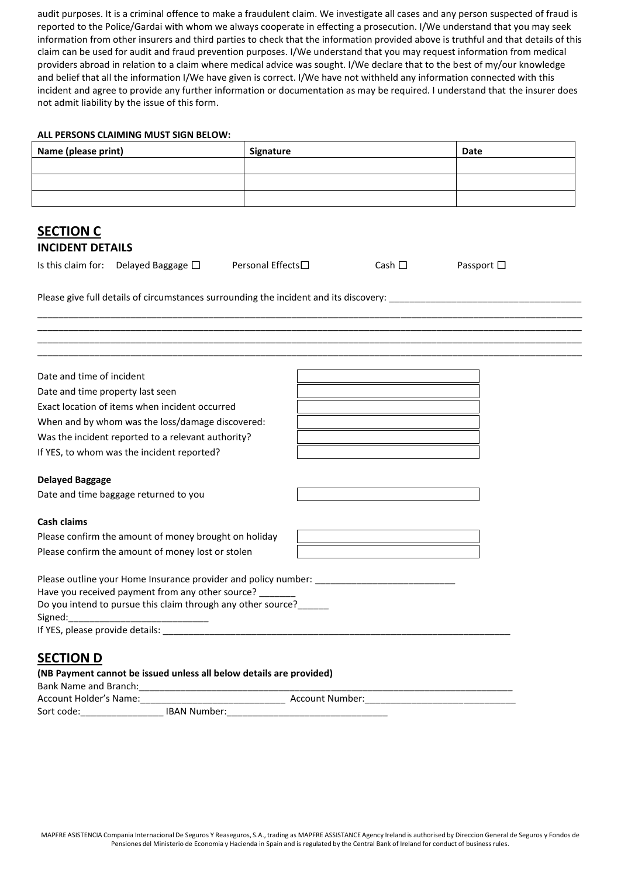audit purposes. It is a criminal offence to make a fraudulent claim. We investigate all cases and any person suspected of fraud is reported to the Police/Gardai with whom we always cooperate in effecting a prosecution. I/We understand that you may seek information from other insurers and third parties to check that the information provided above is truthful and that details of this claim can be used for audit and fraud prevention purposes. I/We understand that you may request information from medical providers abroad in relation to a claim where medical advice was sought. I/We declare that to the best of my/our knowledge and belief that all the information I/We have given is correct. I/We have not withheld any information connected with this incident and agree to provide any further information or documentation as may be required. I understand that the insurer does not admit liability by the issue of this form.

#### **ALL PERSONS CLAIMING MUST SIGN BELOW:**

| Name (please print) | Signature | <b>Date</b> |
|---------------------|-----------|-------------|
|                     |           |             |
|                     |           |             |
|                     |           |             |

\_\_\_\_\_\_\_\_\_\_\_\_\_\_\_\_\_\_\_\_\_\_\_\_\_\_\_\_\_\_\_\_\_\_\_\_\_\_\_\_\_\_\_\_\_\_\_\_\_\_\_\_\_\_\_\_\_\_\_\_\_\_\_\_\_\_\_\_\_\_\_\_\_\_\_\_\_\_\_\_\_\_\_\_\_\_\_\_\_\_\_\_\_\_\_\_\_\_\_\_\_\_\_\_\_ \_\_\_\_\_\_\_\_\_\_\_\_\_\_\_\_\_\_\_\_\_\_\_\_\_\_\_\_\_\_\_\_\_\_\_\_\_\_\_\_\_\_\_\_\_\_\_\_\_\_\_\_\_\_\_\_\_\_\_\_\_\_\_\_\_\_\_\_\_\_\_\_\_\_\_\_\_\_\_\_\_\_\_\_\_\_\_\_\_\_\_\_\_\_\_\_\_\_\_\_\_\_\_\_\_ \_\_\_\_\_\_\_\_\_\_\_\_\_\_\_\_\_\_\_\_\_\_\_\_\_\_\_\_\_\_\_\_\_\_\_\_\_\_\_\_\_\_\_\_\_\_\_\_\_\_\_\_\_\_\_\_\_\_\_\_\_\_\_\_\_\_\_\_\_\_\_\_\_\_\_\_\_\_\_\_\_\_\_\_\_\_\_\_\_\_\_\_\_\_\_\_\_\_\_\_\_\_\_\_\_ \_\_\_\_\_\_\_\_\_\_\_\_\_\_\_\_\_\_\_\_\_\_\_\_\_\_\_\_\_\_\_\_\_\_\_\_\_\_\_\_\_\_\_\_\_\_\_\_\_\_\_\_\_\_\_\_\_\_\_\_\_\_\_\_\_\_\_\_\_\_\_\_\_\_\_\_\_\_\_\_\_\_\_\_\_\_\_\_\_\_\_\_\_\_\_\_\_\_\_\_\_\_\_\_\_

## **SECTION C INCIDENT DETAILS**

Is this claim for: Delayed Baggage ☐ Personal Effects☐ Cash ☐ Passport ☐

Please give full details of circumstances surrounding the incident and its discovery: \_\_\_\_\_\_\_\_\_\_\_\_\_\_\_\_\_\_\_\_\_\_\_\_

| Date and time of incident                                              |  |
|------------------------------------------------------------------------|--|
| Date and time property last seen                                       |  |
| Exact location of items when incident occurred                         |  |
| When and by whom was the loss/damage discovered:                       |  |
| Was the incident reported to a relevant authority?                     |  |
| If YES, to whom was the incident reported?                             |  |
| <b>Delayed Baggage</b>                                                 |  |
| Date and time baggage returned to you                                  |  |
| Cash claims                                                            |  |
| Please confirm the amount of money brought on holiday                  |  |
| Please confirm the amount of money lost or stolen                      |  |
| Please outline your Home Insurance provider and policy number: _______ |  |
| Have you received payment from any other source?                       |  |
| Do you intend to pursue this claim through any other source?           |  |
| Signed:                                                                |  |
|                                                                        |  |
| <b>SECTION D</b>                                                       |  |

### **(NB Payment cannot be issued unless all below details are provided)**

| Bank Name and Branch:  |                     |                 |  |  |
|------------------------|---------------------|-----------------|--|--|
| Account Holder's Name: |                     | Account Number: |  |  |
| Sort code:             | <b>IBAN Number:</b> |                 |  |  |